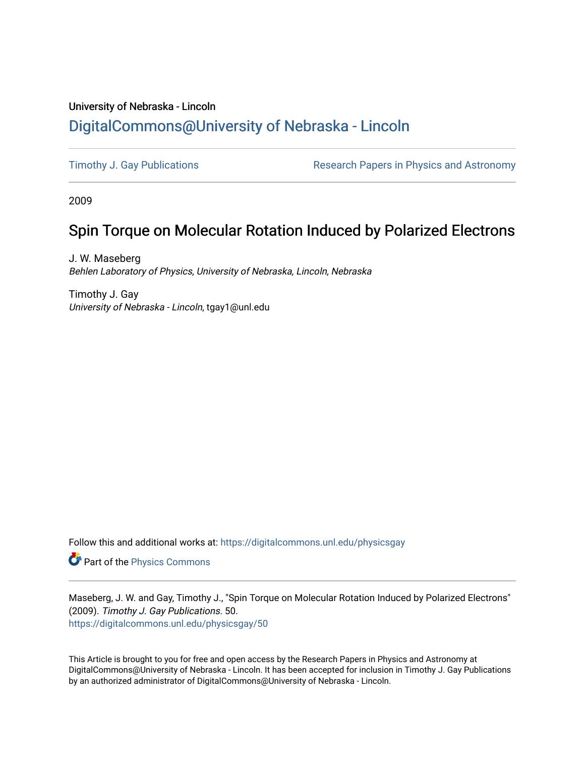## University of Nebraska - Lincoln [DigitalCommons@University of Nebraska - Lincoln](https://digitalcommons.unl.edu/)

[Timothy J. Gay Publications](https://digitalcommons.unl.edu/physicsgay) **Research Papers in Physics and Astronomy** 

2009

# Spin Torque on Molecular Rotation Induced by Polarized Electrons

J. W. Maseberg Behlen Laboratory of Physics, University of Nebraska, Lincoln, Nebraska

Timothy J. Gay University of Nebraska - Lincoln, tgay1@unl.edu

Follow this and additional works at: [https://digitalcommons.unl.edu/physicsgay](https://digitalcommons.unl.edu/physicsgay?utm_source=digitalcommons.unl.edu%2Fphysicsgay%2F50&utm_medium=PDF&utm_campaign=PDFCoverPages)

Part of the [Physics Commons](http://network.bepress.com/hgg/discipline/193?utm_source=digitalcommons.unl.edu%2Fphysicsgay%2F50&utm_medium=PDF&utm_campaign=PDFCoverPages)

Maseberg, J. W. and Gay, Timothy J., "Spin Torque on Molecular Rotation Induced by Polarized Electrons" (2009). Timothy J. Gay Publications. 50. [https://digitalcommons.unl.edu/physicsgay/50](https://digitalcommons.unl.edu/physicsgay/50?utm_source=digitalcommons.unl.edu%2Fphysicsgay%2F50&utm_medium=PDF&utm_campaign=PDFCoverPages) 

This Article is brought to you for free and open access by the Research Papers in Physics and Astronomy at DigitalCommons@University of Nebraska - Lincoln. It has been accepted for inclusion in Timothy J. Gay Publications by an authorized administrator of DigitalCommons@University of Nebraska - Lincoln.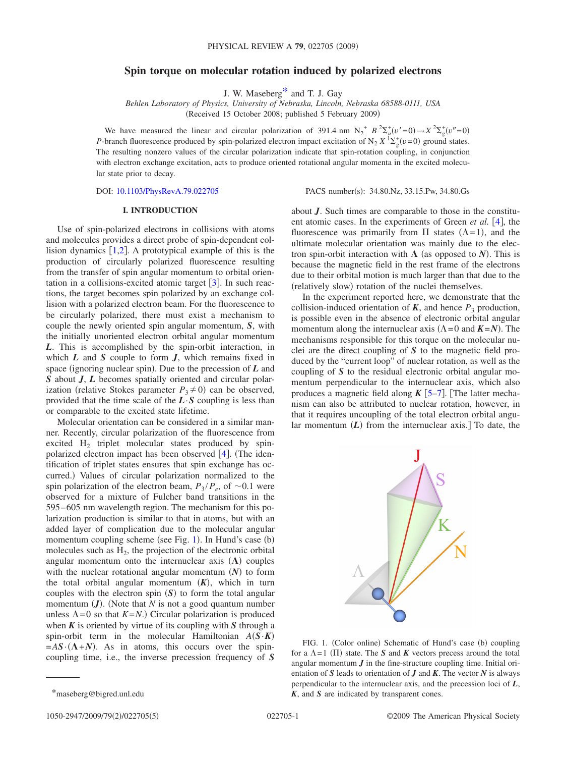### **Spin torque on molecular rotation induced by polarized electrons**

J. W. Maseber[g\\*](#page-1-0) and T. J. Gay

*Behlen Laboratory of Physics, University of Nebraska, Lincoln, Nebraska 68588-0111, USA* (Received 15 October 2008; published 5 February 2009)

We have measured the linear and circular polarization of 391.4 nm  $N_2^+ B^2 \Sigma_u^+(v'=0) \rightarrow X^2 \Sigma_g^+(v''=0)$ <br>*P*-branch fluorescence produced by spin-polarized electron impact excitation of  $N_2 X^1 \Sigma_g^+(v=0)$  ground states. The resulting nonzero values of the circular polarization indicate that spin-rotation coupling, in conjunction with electron exchange excitation, acts to produce oriented rotational angular momenta in the excited molecular state prior to decay.

DOI: [10.1103/PhysRevA.79.022705](http://dx.doi.org/10.1103/PhysRevA.79.022705)

PACS number(s): 34.80.Nz, 33.15.Pw, 34.80.Gs

### **I. INTRODUCTION**

Use of spin-polarized electrons in collisions with atoms and molecules provides a direct probe of spin-dependent collision dynamics  $[1,2]$  $[1,2]$  $[1,2]$  $[1,2]$ . A prototypical example of this is the production of circularly polarized fluorescence resulting from the transfer of spin angular momentum to orbital orientation in a collisions-excited atomic target  $\lceil 3 \rceil$  $\lceil 3 \rceil$  $\lceil 3 \rceil$ . In such reactions, the target becomes spin polarized by an exchange collision with a polarized electron beam. For the fluorescence to be circularly polarized, there must exist a mechanism to couple the newly oriented spin angular momentum, *S*, with the initially unoriented electron orbital angular momentum *L*. This is accomplished by the spin-orbit interaction, in which *L* and *S* couple to form *J*, which remains fixed in space (ignoring nuclear spin). Due to the precession of  $L$  and *S* about *J*, *L* becomes spatially oriented and circular polarization (relative Stokes parameter  $P_3 \neq 0$ ) can be observed, provided that the time scale of the  $L \cdot S$  coupling is less than or comparable to the excited state lifetime.

Molecular orientation can be considered in a similar manner. Recently, circular polarization of the fluorescence from excited H<sub>2</sub> triplet molecular states produced by spinpolarized electron impact has been observed  $[4]$  $[4]$  $[4]$ . (The identification of triplet states ensures that spin exchange has occurred.) Values of circular polarization normalized to the spin polarization of the electron beam,  $P_3 / P_e$ , of  $\sim 0.1$  were observed for a mixture of Fulcher band transitions in the 595– 605 nm wavelength region. The mechanism for this polarization production is similar to that in atoms, but with an added layer of complication due to the molecular angular momentum coupling scheme (see Fig. [1](#page-1-1)). In Hund's case (b) molecules such as  $H<sub>2</sub>$ , the projection of the electronic orbital angular momentum onto the internuclear axis  $(\Lambda)$  couples with the nuclear rotational angular momentum  $(N)$  to form the total orbital angular momentum  $(K)$ , which in turn couples with the electron spin  $(S)$  to form the total angular momentum  $(J)$ . (Note that  $N$  is not a good quantum number unless  $\Lambda = 0$  so that  $K = N$ .) Circular polarization is produced when *K* is oriented by virtue of its coupling with *S* through a spin-orbit term in the molecular Hamiltonian *AS*·*K*-  $=AS \cdot (\Lambda + N)$ . As in atoms, this occurs over the spincoupling time, i.e., the inverse precession frequency of *S* about *J*. Such times are comparable to those in the constituent atomic cases. In the experiments of Green *et al.* [[4](#page-4-3)], the fluorescence was primarily from  $\Pi$  states  $(\Lambda = 1)$ , and the ultimate molecular orientation was mainly due to the electron spin-orbit interaction with  $\Lambda$  (as opposed to *N*). This is because the magnetic field in the rest frame of the electrons due to their orbital motion is much larger than that due to the (relatively slow) rotation of the nuclei themselves.

In the experiment reported here, we demonstrate that the collision-induced orientation of  $K$ , and hence  $P_3$  production, is possible even in the absence of electronic orbital angular momentum along the internuclear axis  $(\Lambda = 0 \text{ and } K = N)$ . The mechanisms responsible for this torque on the molecular nuclei are the direct coupling of *S* to the magnetic field produced by the "current loop" of nuclear rotation, as well as the coupling of *S* to the residual electronic orbital angular momentum perpendicular to the internuclear axis, which also produces a magnetic field along  $K$   $\left[5-7\right]$  $\left[5-7\right]$  $\left[5-7\right]$ . The latter mechanism can also be attributed to nuclear rotation, however, in that it requires uncoupling of the total electron orbital angular momentum  $(L)$  from the internuclear axis.] To date, the

<span id="page-1-1"></span>

FIG. 1. (Color online) Schematic of Hund's case (b) coupling for a  $\Lambda = 1$  (II) state. The *S* and *K* vectors precess around the total angular momentum  $J$  in the fine-structure coupling time. Initial orientation of *S* leads to orientation of *J* and *K*. The vector *N* is always perpendicular to the internuclear axis, and the precession loci of *L*, *K*, and *S* are indicated by transparent cones.

<span id="page-1-0"></span><sup>\*</sup>maseberg@bigred.unl.edu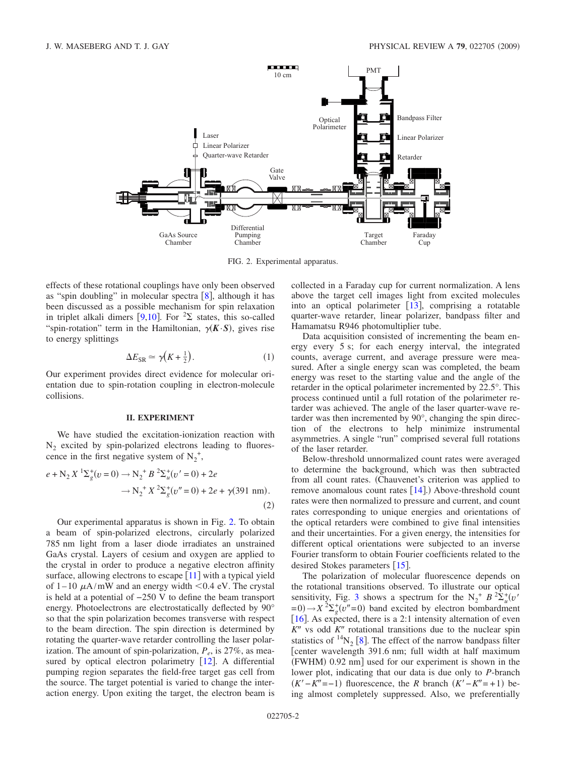<span id="page-2-0"></span>

FIG. 2. Experimental apparatus.

effects of these rotational couplings have only been observed as "spin doubling" in molecular spectra  $\lceil 8 \rceil$  $\lceil 8 \rceil$  $\lceil 8 \rceil$ , although it has been discussed as a possible mechanism for spin relaxation in triplet alkali dimers [[9,](#page-4-7)[10](#page-4-8)]. For  ${}^{2}\Sigma$  states, this so-called "spin-rotation" term in the Hamiltonian,  $\gamma(K \cdot S)$ , gives rise to energy splittings

$$
\Delta E_{\rm SR} \simeq \gamma \left( K + \frac{1}{2} \right). \tag{1}
$$

Our experiment provides direct evidence for molecular orientation due to spin-rotation coupling in electron-molecule collisions.

#### **II. EXPERIMENT**

We have studied the excitation-ionization reaction with  $N_2$  excited by spin-polarized electrons leading to fluorescence in the first negative system of  $N_2^+$ ,

$$
e + N_2 X \, {}^{1}\Sigma_{g}^{+}(v=0) \to N_2 {}^{+} B \, {}^{2}\Sigma_{u}^{+}(v'=0) + 2e
$$
  

$$
\to N_2 {}^{+} X \, {}^{2}\Sigma_{g}^{+}(v''=0) + 2e + \gamma (391 \text{ nm}). \tag{2}
$$

Our experimental apparatus is shown in Fig. [2.](#page-2-0) To obtain a beam of spin-polarized electrons, circularly polarized 785 nm light from a laser diode irradiates an unstrained GaAs crystal. Layers of cesium and oxygen are applied to the crystal in order to produce a negative electron affinity surface, allowing electrons to escape  $[11]$  $[11]$  $[11]$  with a typical yield of  $1-10 \mu A/mW$  and an energy width  $< 0.4$  eV. The crystal is held at a potential of −250 V to define the beam transport energy. Photoelectrons are electrostatically deflected by 90° so that the spin polarization becomes transverse with respect to the beam direction. The spin direction is determined by rotating the quarter-wave retarder controlling the laser polarization. The amount of spin-polarization,  $P_e$ , is 27%, as mea-sured by optical electron polarimetry [[12](#page-4-10)]. A differential pumping region separates the field-free target gas cell from the source. The target potential is varied to change the interaction energy. Upon exiting the target, the electron beam is collected in a Faraday cup for current normalization. A lens above the target cell images light from excited molecules into an optical polarimeter  $[13]$  $[13]$  $[13]$ , comprising a rotatable quarter-wave retarder, linear polarizer, bandpass filter and Hamamatsu R946 photomultiplier tube.

Data acquisition consisted of incrementing the beam energy every 5 s; for each energy interval, the integrated counts, average current, and average pressure were measured. After a single energy scan was completed, the beam energy was reset to the starting value and the angle of the retarder in the optical polarimeter incremented by 22.5°. This process continued until a full rotation of the polarimeter retarder was achieved. The angle of the laser quarter-wave retarder was then incremented by 90°, changing the spin direction of the electrons to help minimize instrumental asymmetries. A single "run" comprised several full rotations of the laser retarder.

Below-threshold unnormalized count rates were averaged to determine the background, which was then subtracted from all count rates. Chauvenet's criterion was applied to remove anomalous count rates  $[14]$  $[14]$  $[14]$ .) Above-threshold count rates were then normalized to pressure and current, and count rates corresponding to unique energies and orientations of the optical retarders were combined to give final intensities and their uncertainties. For a given energy, the intensities for different optical orientations were subjected to an inverse Fourier transform to obtain Fourier coefficients related to the desired Stokes parameters  $\lceil 15 \rceil$  $\lceil 15 \rceil$  $\lceil 15 \rceil$ .

The polarization of molecular fluorescence depends on the rotational transitions observed. To illustrate our optical sensitivity, Fig. [3](#page-3-0) shows a spectrum for the  $N_2^+ B^2 \Sigma_u^+ (v'')$  $y = 0 \rightarrow X^2 \Sigma_g^+ (v'' = 0)$  band excited by electron bombardment [ $16$ ]. As expected, there is a 2:1 intensity alternation of even  $K''$  vs odd  $K''$  rotational transitions due to the nuclear spin statistics of  $^{14}N_2$  [[8](#page-4-6)]. The effect of the narrow bandpass filter center wavelength 391.6 nm; full width at half maximum (FWHM) 0.92 nm] used for our experiment is shown in the lower plot, indicating that our data is due only to *P*-branch  $(K'-K''=-1)$  fluorescence, the *R* branch  $(K'-K''=+1)$  being almost completely suppressed. Also, we preferentially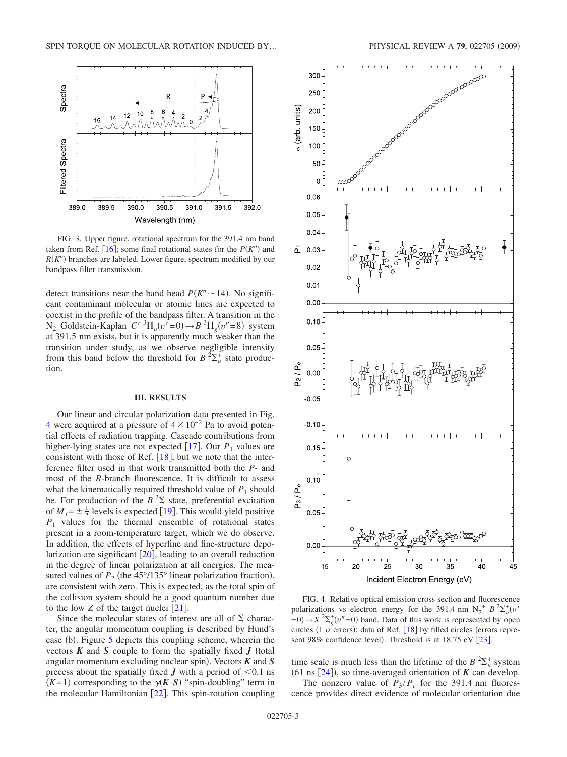<span id="page-3-0"></span>

FIG. 3. Upper figure, rotational spectrum for the 391.4 nm band taken from Ref. [[16](#page-5-3)]; some final rotational states for the  $P(K<sup>n</sup>)$  and  $R(K<sup>n</sup>)$  branches are labeled. Lower figure, spectrum modified by our bandpass filter transmission.

detect transitions near the band head  $P(K'' \sim 14)$ . No significant contaminant molecular or atomic lines are expected to coexist in the profile of the bandpass filter. A transition in the  $N_2$  Goldstein-Kaplan  $C'$  <sup>3</sup> $\Pi_u(v' = 0) \rightarrow B$ <sup>3</sup> $\Pi_g(v'' = 8)$  system at 391.5 nm exists, but it is apparently much weaker than the transition under study, as we observe negligible intensity from this band below the threshold for  $B^2\Sigma_u^+$  state production.

#### **III. RESULTS**

Our linear and circular polarization data presented in Fig. [4](#page-3-1) were acquired at a pressure of  $4 \times 10^{-2}$  Pa to avoid potential effects of radiation trapping. Cascade contributions from higher-lying states are not expected  $[17]$  $[17]$  $[17]$ . Our  $P_1$  values are consistent with those of Ref.  $[18]$  $[18]$  $[18]$ , but we note that the interference filter used in that work transmitted both the *P*- and most of the *R*-branch fluorescence. It is difficult to assess what the kinematically required threshold value of  $P_1$  should be. For production of the  $B^2\Sigma$  state, preferential excitation of  $M_J = \pm \frac{1}{2}$  levels is expected [[19](#page-5-6)]. This would yield positive  $P_1$  values for the thermal ensemble of rotational states present in a room-temperature target, which we do observe. In addition, the effects of hyperfine and fine-structure depolarization are significant  $[20]$  $[20]$  $[20]$ , leading to an overall reduction in the degree of linear polarization at all energies. The measured values of  $P_2$  (the  $45^{\circ}/135^{\circ}$  linear polarization fraction), are consistent with zero. This is expected, as the total spin of the collision system should be a good quantum number due to the low *Z* of the target nuclei  $\lceil 21 \rceil$  $\lceil 21 \rceil$  $\lceil 21 \rceil$ .

Since the molecular states of interest are all of  $\Sigma$  character, the angular momentum coupling is described by Hund's case (b). Figure [5](#page-4-11) depicts this coupling scheme, wherein the vectors  $K$  and  $S$  couple to form the spatially fixed  $J$  (total angular momentum excluding nuclear spin). Vectors  $K$  and  $S$ precess about the spatially fixed  $J$  with a period of  $\leq 0.1$  ns  $(K=1)$  corresponding to the  $\gamma(K\cdot S)$  "spin-doubling" term in the molecular Hamiltonian  $\lceil 22 \rceil$  $\lceil 22 \rceil$  $\lceil 22 \rceil$ . This spin-rotation coupling

<span id="page-3-1"></span>

FIG. 4. Relative optical emission cross section and fluorescence polarizations vs electron energy for the 391.4 nm  $N_2^+$  *B*  ${}^{2}\Sigma_u^+(v')$  $y = 0 \rightarrow X^2 \Sigma_g^+(v''=0)$  band. Data of this work is represented by open circles (1  $\sigma$  errors); data of Ref. [[18](#page-5-5)] by filled circles (errors repre-sent 98% confidence level). Threshold is at 18.75 eV [[23](#page-5-11)].

time scale is much less than the lifetime of the  $B^2\Sigma_u^+$  system (61 ns  $[24]$  $[24]$  $[24]$ ), so time-averaged orientation of **K** can develop.

The nonzero value of  $P_3 / P_e$  for the 391.4 nm fluorescence provides direct evidence of molecular orientation due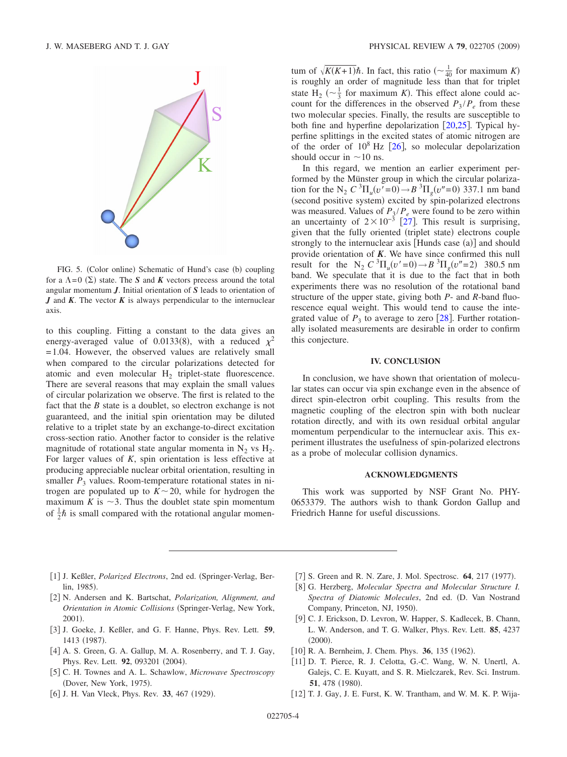<span id="page-4-11"></span>

FIG. 5. (Color online) Schematic of Hund's case (b) coupling for a  $\Lambda = 0$  ( $\Sigma$ ) state. The *S* and *K* vectors precess around the total angular momentum *J*. Initial orientation of *S* leads to orientation of *J* and *K*. The vector *K* is always perpendicular to the internuclear axis.

to this coupling. Fitting a constant to the data gives an energy-averaged value of 0.0133(8), with a reduced  $\chi^2$ = 1.04. However, the observed values are relatively small when compared to the circular polarizations detected for atomic and even molecular  $H<sub>2</sub>$  triplet-state fluorescence. There are several reasons that may explain the small values of circular polarization we observe. The first is related to the fact that the *B* state is a doublet, so electron exchange is not guaranteed, and the initial spin orientation may be diluted relative to a triplet state by an exchange-to-direct excitation cross-section ratio. Another factor to consider is the relative magnitude of rotational state angular momenta in  $N_2$  vs  $H_2$ . For larger values of *K*, spin orientation is less effective at producing appreciable nuclear orbital orientation, resulting in smaller  $P_3$  values. Room-temperature rotational states in nitrogen are populated up to  $K \sim 20$ , while for hydrogen the maximum *K* is  $\sim$ 3. Thus the doublet state spin momentum of  $\frac{1}{2}\hbar$  is small compared with the rotational angular momen-

tum of  $\sqrt{K(K+1)}\hbar$ . In fact, this ratio  $\left(\sim \frac{1}{40} \text{ for maximum } K\right)$ is roughly an order of magnitude less than that for triplet state H<sub>2</sub> ( $\sim \frac{1}{3}$  for maximum *K*). This effect alone could account for the differences in the observed  $P_3 / P_e$  from these two molecular species. Finally, the results are susceptible to both fine and hyperfine depolarization  $[20,25]$  $[20,25]$  $[20,25]$  $[20,25]$ . Typical hyperfine splittings in the excited states of atomic nitrogen are of the order of  $10^8$  Hz  $[26]$  $[26]$  $[26]$ , so molecular depolarization should occur in  $\sim$ 10 ns.

In this regard, we mention an earlier experiment performed by the Münster group in which the circular polarization for the N<sub>2</sub>  $C \binom{3}{1} u(v' = 0) \rightarrow B \binom{3}{1} u(v'' = 0)$  337.1 nm band (second positive system) excited by spin-polarized electrons was measured. Values of  $P_3/P_e$  were found to be zero within an uncertainty of  $2 \times 10^{-3}$  [[27](#page-5-14)]. This result is surprising, given that the fully oriented (triplet state) electrons couple strongly to the internuclear axis [Hunds case (a)] and should provide orientation of *K*. We have since confirmed this null result for the N<sub>2</sub>  $C^{3}\Pi_{u}(v'=0) \rightarrow B^{3}\Pi_{g}(v''=2)$  380.5 nm band. We speculate that it is due to the fact that in both experiments there was no resolution of the rotational band structure of the upper state, giving both *P*- and *R*-band fluorescence equal weight. This would tend to cause the integrated value of  $P_3$  to average to zero [[28](#page-5-15)]. Further rotationally isolated measurements are desirable in order to confirm this conjecture.

#### **IV. CONCLUSION**

In conclusion, we have shown that orientation of molecular states can occur via spin exchange even in the absence of direct spin-electron orbit coupling. This results from the magnetic coupling of the electron spin with both nuclear rotation directly, and with its own residual orbital angular momentum perpendicular to the internuclear axis. This experiment illustrates the usefulness of spin-polarized electrons as a probe of molecular collision dynamics.

#### **ACKNOWLEDGMENTS**

This work was supported by NSF Grant No. PHY-0653379. The authors wish to thank Gordon Gallup and Friedrich Hanne for useful discussions.

- 1 J. Keßler, *Polarized Electrons*, 2nd ed. Springer-Verlag, Berlin, 1985).
- <span id="page-4-1"></span><span id="page-4-0"></span>2 N. Andersen and K. Bartschat, *Polarization, Alignment, and Orientation in Atomic Collisions* (Springer-Verlag, New York, 2001).
- 3 J. Goeke, J. Keßler, and G. F. Hanne, Phys. Rev. Lett. **59**, 1413 (1987).
- <span id="page-4-2"></span>[4] A. S. Green, G. A. Gallup, M. A. Rosenberry, and T. J. Gay, Phys. Rev. Lett. 92, 093201 (2004).
- <span id="page-4-3"></span>5 C. H. Townes and A. L. Schawlow, *Microwave Spectroscopy* (Dover, New York, 1975).
- <span id="page-4-4"></span>[6] J. H. Van Vleck, Phys. Rev. 33, 467 (1929).
- [7] S. Green and R. N. Zare, J. Mol. Spectrosc. 64, 217 (1977).
- <span id="page-4-6"></span><span id="page-4-5"></span>8 G. Herzberg, *Molecular Spectra and Molecular Structure I.* Spectra of Diatomic Molecules, 2nd ed. (D. Van Nostrand Company, Princeton, NJ, 1950).
- <span id="page-4-7"></span>[9] C. J. Erickson, D. Levron, W. Happer, S. Kadlecek, B. Chann, L. W. Anderson, and T. G. Walker, Phys. Rev. Lett. **85**, 4237  $(2000).$
- [10] R. A. Bernheim, J. Chem. Phys. 36, 135 (1962).
- <span id="page-4-9"></span><span id="page-4-8"></span>[11] D. T. Pierce, R. J. Celotta, G.-C. Wang, W. N. Unertl, A. Galejs, C. E. Kuyatt, and S. R. Mielczarek, Rev. Sci. Instrum. **51**, 478 (1980).
- <span id="page-4-10"></span>[12] T. J. Gay, J. E. Furst, K. W. Trantham, and W. M. K. P. Wija-